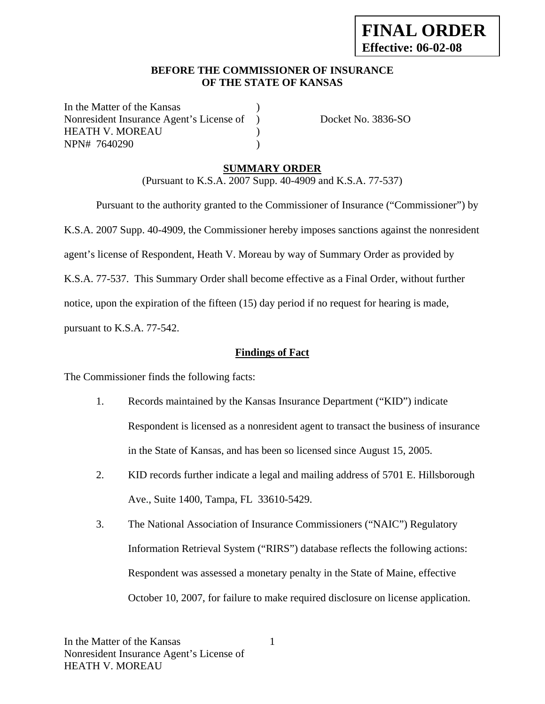## **BEFORE THE COMMISSIONER OF INSURANCE OF THE STATE OF KANSAS**

In the Matter of the Kansas Nonresident Insurance Agent's License of ) Docket No. 3836-SO HEATH V. MOREAU (1) NPN# 7640290 )

## **SUMMARY ORDER**

(Pursuant to K.S.A. 2007 Supp. 40-4909 and K.S.A. 77-537)

 Pursuant to the authority granted to the Commissioner of Insurance ("Commissioner") by K.S.A. 2007 Supp. 40-4909, the Commissioner hereby imposes sanctions against the nonresident agent's license of Respondent, Heath V. Moreau by way of Summary Order as provided by K.S.A. 77-537. This Summary Order shall become effective as a Final Order, without further notice, upon the expiration of the fifteen (15) day period if no request for hearing is made, pursuant to K.S.A. 77-542.

### **Findings of Fact**

The Commissioner finds the following facts:

- 1. Records maintained by the Kansas Insurance Department ("KID") indicate Respondent is licensed as a nonresident agent to transact the business of insurance in the State of Kansas, and has been so licensed since August 15, 2005.
- 2. KID records further indicate a legal and mailing address of 5701 E. Hillsborough Ave., Suite 1400, Tampa, FL 33610-5429.
- 3. The National Association of Insurance Commissioners ("NAIC") Regulatory Information Retrieval System ("RIRS") database reflects the following actions: Respondent was assessed a monetary penalty in the State of Maine, effective October 10, 2007, for failure to make required disclosure on license application.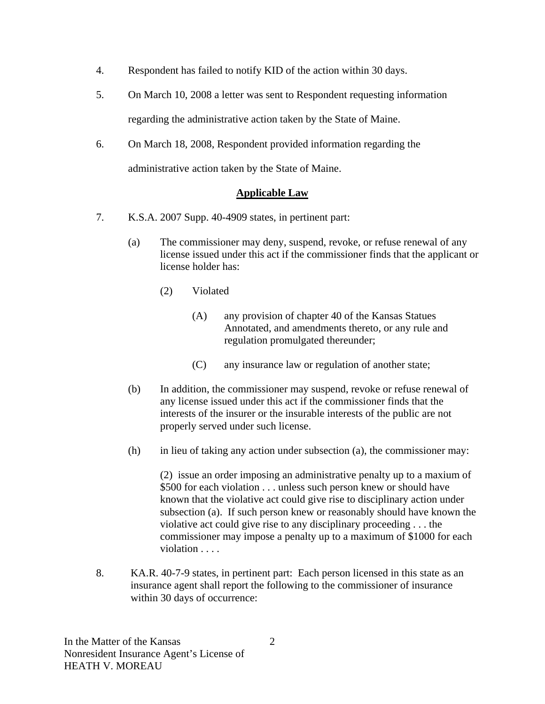- 4. Respondent has failed to notify KID of the action within 30 days.
- 5. On March 10, 2008 a letter was sent to Respondent requesting information regarding the administrative action taken by the State of Maine.
- 6. On March 18, 2008, Respondent provided information regarding the administrative action taken by the State of Maine.

## **Applicable Law**

- 7. K.S.A. 2007 Supp. 40-4909 states, in pertinent part:
	- (a) The commissioner may deny, suspend, revoke, or refuse renewal of any license issued under this act if the commissioner finds that the applicant or license holder has:
		- (2) Violated
			- (A) any provision of chapter 40 of the Kansas Statues Annotated, and amendments thereto, or any rule and regulation promulgated thereunder;
			- (C) any insurance law or regulation of another state;
	- (b) In addition, the commissioner may suspend, revoke or refuse renewal of any license issued under this act if the commissioner finds that the interests of the insurer or the insurable interests of the public are not properly served under such license.
	- (h) in lieu of taking any action under subsection (a), the commissioner may:

(2) issue an order imposing an administrative penalty up to a maxium of \$500 for each violation . . . unless such person knew or should have known that the violative act could give rise to disciplinary action under subsection (a). If such person knew or reasonably should have known the violative act could give rise to any disciplinary proceeding . . . the commissioner may impose a penalty up to a maximum of \$1000 for each violation . . . .

8. KA.R. 40-7-9 states, in pertinent part: Each person licensed in this state as an insurance agent shall report the following to the commissioner of insurance within 30 days of occurrence: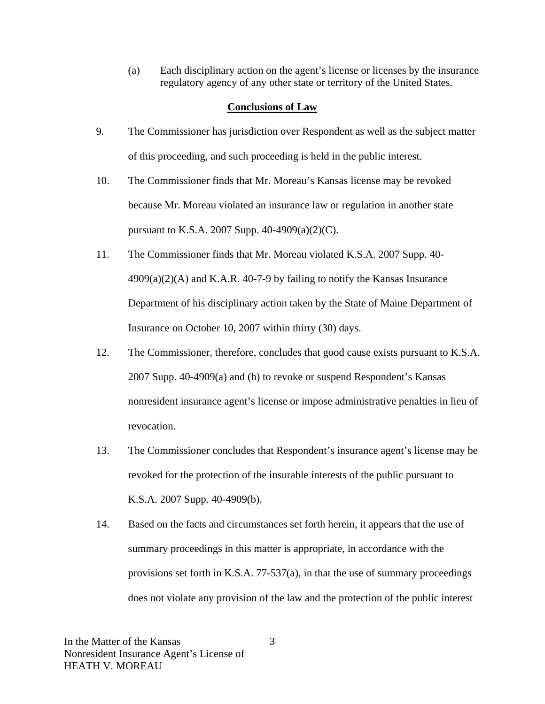(a) Each disciplinary action on the agent's license or licenses by the insurance regulatory agency of any other state or territory of the United States.

### **Conclusions of Law**

- 9. The Commissioner has jurisdiction over Respondent as well as the subject matter of this proceeding, and such proceeding is held in the public interest.
- 10. The Commissioner finds that Mr. Moreau's Kansas license may be revoked because Mr. Moreau violated an insurance law or regulation in another state pursuant to K.S.A. 2007 Supp. 40-4909(a)(2)(C).
- 11. The Commissioner finds that Mr. Moreau violated K.S.A. 2007 Supp. 40-  $4909(a)(2)(A)$  and K.A.R. 40-7-9 by failing to notify the Kansas Insurance Department of his disciplinary action taken by the State of Maine Department of Insurance on October 10, 2007 within thirty (30) days.
- 12. The Commissioner, therefore, concludes that good cause exists pursuant to K.S.A. 2007 Supp. 40-4909(a) and (h) to revoke or suspend Respondent's Kansas nonresident insurance agent's license or impose administrative penalties in lieu of revocation.
- 13. The Commissioner concludes that Respondent's insurance agent's license may be revoked for the protection of the insurable interests of the public pursuant to K.S.A. 2007 Supp. 40-4909(b).
- 14. Based on the facts and circumstances set forth herein, it appears that the use of summary proceedings in this matter is appropriate, in accordance with the provisions set forth in K.S.A. 77-537(a), in that the use of summary proceedings does not violate any provision of the law and the protection of the public interest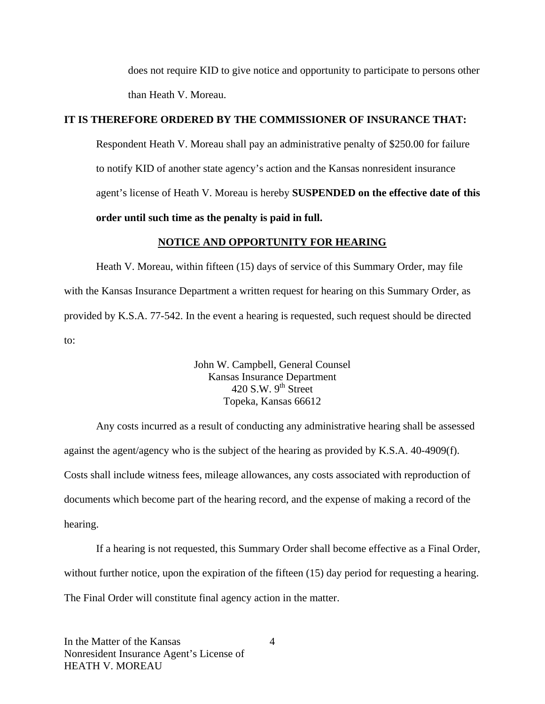does not require KID to give notice and opportunity to participate to persons other than Heath V. Moreau.

### **IT IS THEREFORE ORDERED BY THE COMMISSIONER OF INSURANCE THAT:**

Respondent Heath V. Moreau shall pay an administrative penalty of \$250.00 for failure to notify KID of another state agency's action and the Kansas nonresident insurance agent's license of Heath V. Moreau is hereby **SUSPENDED on the effective date of this order until such time as the penalty is paid in full.** 

#### **NOTICE AND OPPORTUNITY FOR HEARING**

Heath V. Moreau, within fifteen (15) days of service of this Summary Order, may file with the Kansas Insurance Department a written request for hearing on this Summary Order, as provided by K.S.A. 77-542. In the event a hearing is requested, such request should be directed to:

> John W. Campbell, General Counsel Kansas Insurance Department 420 S.W.  $9<sup>th</sup>$  Street Topeka, Kansas 66612

Any costs incurred as a result of conducting any administrative hearing shall be assessed against the agent/agency who is the subject of the hearing as provided by K.S.A. 40-4909(f). Costs shall include witness fees, mileage allowances, any costs associated with reproduction of documents which become part of the hearing record, and the expense of making a record of the hearing.

If a hearing is not requested, this Summary Order shall become effective as a Final Order, without further notice, upon the expiration of the fifteen (15) day period for requesting a hearing. The Final Order will constitute final agency action in the matter.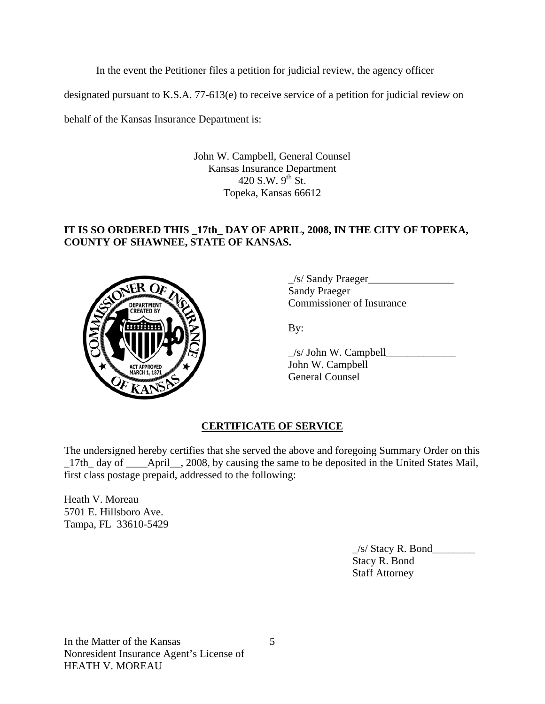In the event the Petitioner files a petition for judicial review, the agency officer

designated pursuant to K.S.A. 77-613(e) to receive service of a petition for judicial review on

behalf of the Kansas Insurance Department is:

John W. Campbell, General Counsel Kansas Insurance Department 420 S.W.  $9^{th}$  St. Topeka, Kansas 66612

## **IT IS SO ORDERED THIS \_17th\_ DAY OF APRIL, 2008, IN THE CITY OF TOPEKA, COUNTY OF SHAWNEE, STATE OF KANSAS.**



\_/s/ Sandy Praeger\_\_\_\_\_\_\_\_\_\_\_\_\_\_\_\_ Sandy Praeger COMMISSIONER COMMISSIONER OF Insurance

 $\angle$ s/ John W. Campbell $\angle$  John W. Campbell General Counsel

# **CERTIFICATE OF SERVICE**

The undersigned hereby certifies that she served the above and foregoing Summary Order on this \_17th\_ day of \_\_\_\_April\_\_, 2008, by causing the same to be deposited in the United States Mail, first class postage prepaid, addressed to the following:

Heath V. Moreau 5701 E. Hillsboro Ave. Tampa, FL 33610-5429

> $\angle$ s/ Stacy R. Bond $\angle$  Stacy R. Bond Staff Attorney